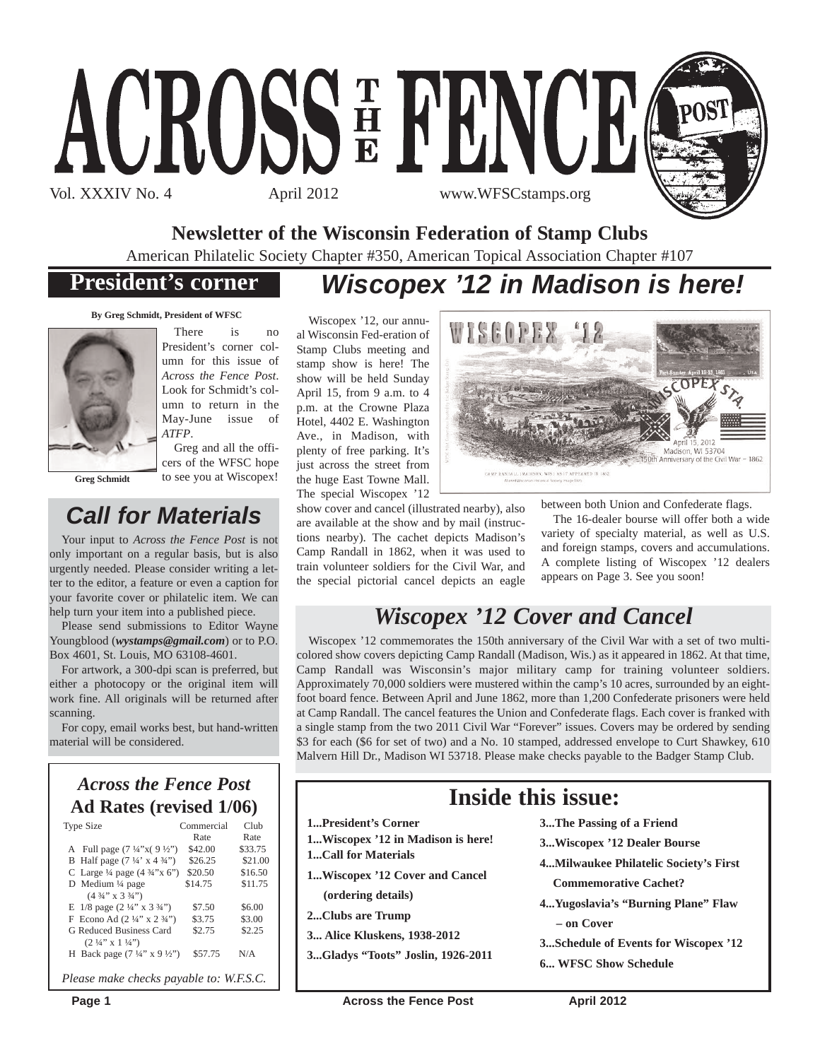

**Newsletter of the Wisconsin Federation of Stamp Clubs**

American Philatelic Society Chapter #350, American Topical Association Chapter #107

### **President's corner**

## *Wiscopex '12 in Madison is here!*

WISCOPEX

**By Greg Schmidt, President of WFSC**



**Greg Schmidt**

There is no President's corner column for this issue of *Across the Fence Post*. Look for Schmidt's column to return in the May-June issue of *ATFP*.

Greg and all the officers of the WFSC hope to see you at Wiscopex!

## *Call for Materials*

Your input to *Across the Fence Post* is not only important on a regular basis, but is also urgently needed. Please consider writing a letter to the editor, a feature or even a caption for your favorite cover or philatelic item. We can help turn your item into a published piece.

Please send submissions to Editor Wayne Youngblood (*wystamps@gmail.com*) or to P.O. Box 4601, St. Louis, MO 63108-4601.

For artwork, a 300-dpi scan is preferred, but either a photocopy or the original item will work fine. All originals will be returned after scanning.

For copy, email works best, but hand-written material will be considered.

### *Across the Fence Post* **Ad Rates (revised 1/06)**

| <b>Type Size</b>                                             | Commercial | Club    |
|--------------------------------------------------------------|------------|---------|
|                                                              | Rate       | Rate    |
| A Full page $(7\frac{1}{4}x)(9\frac{1}{2}y)$                 | \$42.00    | \$33.75 |
| B Half page $(7\frac{1}{4} \times 4\frac{3}{4})$             | \$26.25    | \$21.00 |
| C Large $\frac{1}{4}$ page $(4 \frac{3}{4} x)^{1} (x^2)^{1}$ | \$20.50    | \$16.50 |
| D Medium 1/4 page                                            | \$14.75    | \$11.75 |
| $(4\frac{3}{4}$ " x 3 $\frac{3}{4}$ ")                       |            |         |
| E $1/8$ page $(2\frac{1}{4}$ " x $3\frac{3}{4}$ ")           | \$7.50     | \$6.00  |
| F Econo Ad $(2\frac{1}{4}$ " x $2\frac{3}{4}$ ")             | \$3.75     | \$3.00  |
| G Reduced Business Card                                      | \$2.75     | \$2.25  |
| $(2\frac{1}{4}$ " x $1\frac{1}{4}$ ")                        |            |         |
| H Back page $(7\frac{1}{4}$ " x 9 ½")                        | \$57.75    | N/A     |
| Please make checks payable to: W.F.S.C.                      |            |         |

Wiscopex '12, our annual Wisconsin Fed-eration of Stamp Clubs meeting and stamp show is here! The show will be held Sunday April 15, from 9 a.m. to 4 p.m. at the Crowne Plaza Hotel, 4402 E. Washington Ave., in Madison, with plenty of free parking. It's just across the street from the huge East Towne Mall. The special Wiscopex '12

show cover and cancel (illustrated nearby), also are available at the show and by mail (instructions nearby). The cachet depicts Madison's Camp Randall in 1862, when it was used to train volunteer soldiers for the Civil War, and the special pictorial cancel depicts an eagle between both Union and Confederate flags.

The 16-dealer bourse will offer both a wide variety of specialty material, as well as U.S. and foreign stamps, covers and accumulations. A complete listing of Wiscopex '12 dealers appears on Page 3. See you soon!

Madison, WI 53704 150th Anniversary of the Civil War - 1862

## *Wiscopex '12 Cover and Cancel*

Wiscopex '12 commemorates the 150th anniversary of the Civil War with a set of two multicolored show covers depicting Camp Randall (Madison, Wis.) as it appeared in 1862. At that time, Camp Randall was Wisconsin's major military camp for training volunteer soldiers. Approximately 70,000 soldiers were mustered within the camp's 10 acres, surrounded by an eightfoot board fence. Between April and June 1862, more than 1,200 Confederate prisoners were held at Camp Randall. The cancel features the Union and Confederate flags. Each cover is franked with a single stamp from the two 2011 Civil War "Forever" issues. Covers may be ordered by sending \$3 for each (\$6 for set of two) and a No. 10 stamped, addressed envelope to Curt Shawkey, 610 Malvern Hill Dr., Madison WI 53718. Please make checks payable to the Badger Stamp Club.

### **Inside this issue:**

- **1...President's Corner**
- **1...Wiscopex '12 in Madison is here!**
- **1...Call for Materials**
- **1...Wiscopex '12 Cover and Cancel**
	- **(ordering details)**
- **2...Clubs are Trump**
- **3... Alice Kluskens, 1938-2012**
- **3...Gladys "Toots" Joslin, 1926-2011**
- **3...The Passing of a Friend**
- **3...Wiscopex '12 Dealer Bourse**
- **4...Milwaukee Philatelic Society's First**
	- **Commemorative Cachet?**
- **4...Yugoslavia's "Burning Plane" Flaw – on Cover**
- **3...Schedule of Events for Wiscopex '12**
- **6... WFSC Show Schedule**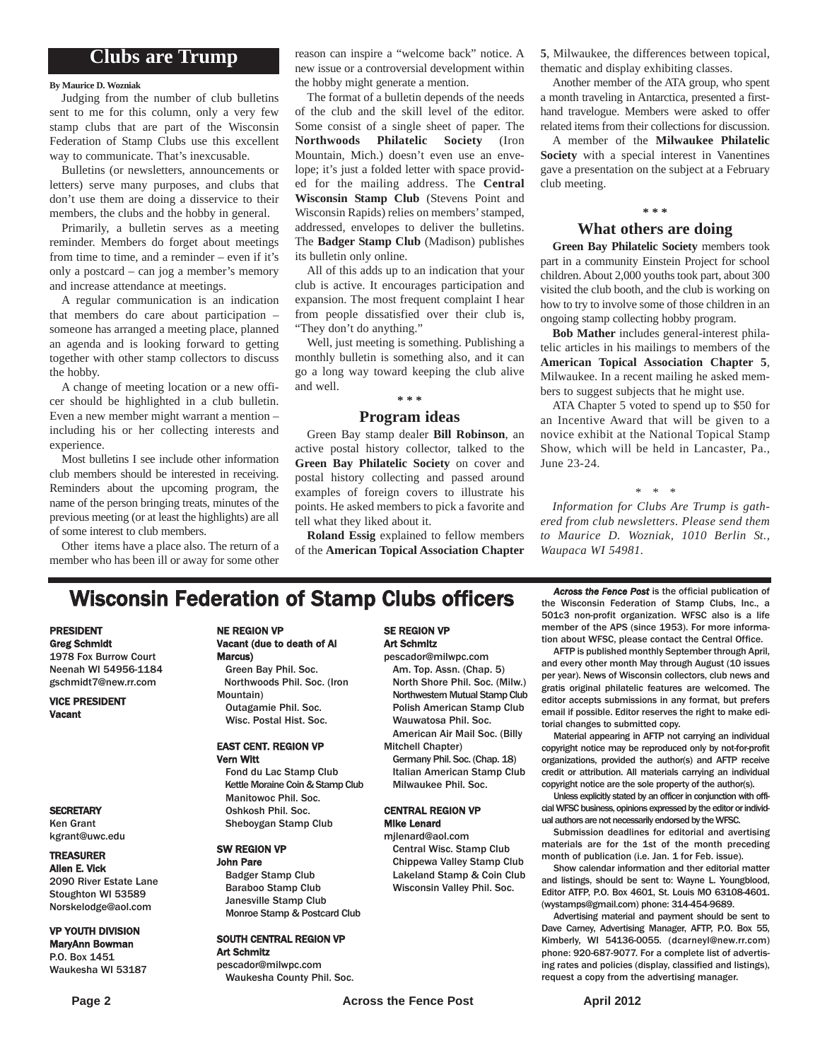### **Clubs are Trump**

#### **By Maurice D. Wozniak**

Judging from the number of club bulletins sent to me for this column, only a very few stamp clubs that are part of the Wisconsin Federation of Stamp Clubs use this excellent way to communicate. That's inexcusable.

Bulletins (or newsletters, announcements or letters) serve many purposes, and clubs that don't use them are doing a disservice to their members, the clubs and the hobby in general.

Primarily, a bulletin serves as a meeting reminder. Members do forget about meetings from time to time, and a reminder – even if it's only a postcard – can jog a member's memory and increase attendance at meetings.

A regular communication is an indication that members do care about participation – someone has arranged a meeting place, planned an agenda and is looking forward to getting together with other stamp collectors to discuss the hobby.

A change of meeting location or a new officer should be highlighted in a club bulletin. Even a new member might warrant a mention – including his or her collecting interests and experience.

Most bulletins I see include other information club members should be interested in receiving. Reminders about the upcoming program, the name of the person bringing treats, minutes of the previous meeting (or at least the highlights) are all of some interest to club members.

Other items have a place also. The return of a member who has been ill or away for some other

reason can inspire a "welcome back" notice. A new issue or a controversial development within the hobby might generate a mention.

The format of a bulletin depends of the needs of the club and the skill level of the editor. Some consist of a single sheet of paper. The **Northwoods Philatelic Society** (Iron Mountain, Mich.) doesn't even use an envelope; it's just a folded letter with space provided for the mailing address. The **Central Wisconsin Stamp Club** (Stevens Point and Wisconsin Rapids) relies on members' stamped, addressed, envelopes to deliver the bulletins. The **Badger Stamp Club** (Madison) publishes its bulletin only online.

All of this adds up to an indication that your club is active. It encourages participation and expansion. The most frequent complaint I hear from people dissatisfied over their club is, "They don't do anything."

Well, just meeting is something. Publishing a monthly bulletin is something also, and it can go a long way toward keeping the club alive and well.

### **\* \* \***

#### **Program ideas**

Green Bay stamp dealer **Bill Robinson**, an active postal history collector, talked to the **Green Bay Philatelic Society** on cover and postal history collecting and passed around examples of foreign covers to illustrate his points. He asked members to pick a favorite and tell what they liked about it.

**Roland Essig** explained to fellow members of the **American Topical Association Chapter** **5**, Milwaukee, the differences between topical, thematic and display exhibiting classes.

Another member of the ATA group, who spent a month traveling in Antarctica, presented a firsthand travelogue. Members were asked to offer related items from their collections for discussion.

A member of the **Milwaukee Philatelic Society** with a special interest in Vanentines gave a presentation on the subject at a February club meeting.

#### **\* \* \***

#### **What others are doing**

**Green Bay Philatelic Society** members took part in a community Einstein Project for school children. About 2,000 youths took part, about 300 visited the club booth, and the club is working on how to try to involve some of those children in an ongoing stamp collecting hobby program.

**Bob Mather** includes general-interest philatelic articles in his mailings to members of the **American Topical Association Chapter 5**, Milwaukee. In a recent mailing he asked members to suggest subjects that he might use.

ATA Chapter 5 voted to spend up to \$50 for an Incentive Award that will be given to a novice exhibit at the National Topical Stamp Show, which will be held in Lancaster, Pa., June 23-24.

*\* \* \**

*Information for Clubs Are Trump is gathered from club newsletters. Please send them to Maurice D. Wozniak, 1010 Berlin St., Waupaca WI 54981.*

### **Wisconsin Federation of Stamp Clubs officers** *Across the Fence Post* is the official publication of stamp Clubs, Inc., a

#### PRESIDENT Greg Schmidt

1978 Fox Burrow Court Neenah WI 54956-1184 gschmidt7@new.rr.com

VICE PRESIDENT Vacant

#### **SECRETARY**

Ken Grant kgrant@uwc.edu

#### TREASURER

Allen E. Vick 2090 River Estate Lane Stoughton WI 53589 Norskelodge@aol.com

#### VP YOUTH DIVISION MaryAnn Bowman

P.O. Box 1451 Waukesha WI 53187

#### NE REGION VP Vacant (due to death of Al Marcus) Green Bay Phil. Soc.

Northwoods Phil. Soc. (Iron Mountain) Outagamie Phil. Soc. Wisc. Postal Hist. Soc.

#### EAST CENT. REGION VP Vern Witt

Fond du Lac Stamp Club Kettle Moraine Coin & Stamp Club Manitowoc Phil. Soc. Oshkosh Phil. Soc. Sheboygan Stamp Club

#### SW REGION VP John Pare

Badger Stamp Club Baraboo Stamp Club Janesville Stamp Club Monroe Stamp & Postcard Club

#### SOUTH CENTRAL REGION VP Art Schmitz

pescador@milwpc.com Waukesha County Phil. Soc.

#### SE REGION VP Art Schmitz

pescador@milwpc.com Am. Top. Assn. (Chap. 5) North Shore Phil. Soc. (Milw.) Northwestern Mutual Stamp Club Polish American Stamp Club Wauwatosa Phil. Soc. American Air Mail Soc. (Billy

Mitchell Chapter) Germany Phil. Soc. (Chap. 18)

Italian American Stamp Club Milwaukee Phil. Soc.

#### CENTRAL REGION VP Mike Lenard

mjlenard@aol.com Central Wisc. Stamp Club Chippewa Valley Stamp Club Lakeland Stamp & Coin Club Wisconsin Valley Phil. Soc.

the Wisconsin Federation of Stamp Clubs, Inc., a 501c3 non-profit organization. WFSC also is a life member of the APS (since 1953). For more information about WFSC, please contact the Central Office. AFTP is published monthly September through April,

and every other month May through August (10 issues per year). News of Wisconsin collectors, club news and gratis original philatelic features are welcomed. The editor accepts submissions in any format, but prefers email if possible. Editor reserves the right to make editorial changes to submitted copy.

Material appearing in AFTP not carrying an individual copyright notice may be reproduced only by not-for-profit organizations, provided the author(s) and AFTP receive credit or attribution. All materials carrying an individual copyright notice are the sole property of the author(s).

Unless explicitly stated by an officer in conjunction with official WFSC business, opinions expressed by the editor or individual authors are not necessarily endorsed by the WFSC.

Submission deadlines for editorial and avertising materials are for the 1st of the month preceding month of publication (i.e. Jan. 1 for Feb. issue).

Show calendar information and ther editorial matter and listings, should be sent to: Wayne L. Youngblood, Editor ATFP, P.O. Box 4601, St. Louis MO 63108-4601. (wystamps@gmail.com) phone: 314-454-9689.

Advertising material and payment should be sent to Dave Carney, Advertising Manager, AFTP, P.O. Box 55, Kimberly, WI 54136-0055. (dcarneyl@new.rr.com) phone: 920-687-9077. For a complete list of advertising rates and policies (display, classified and listings), request a copy from the advertising manager.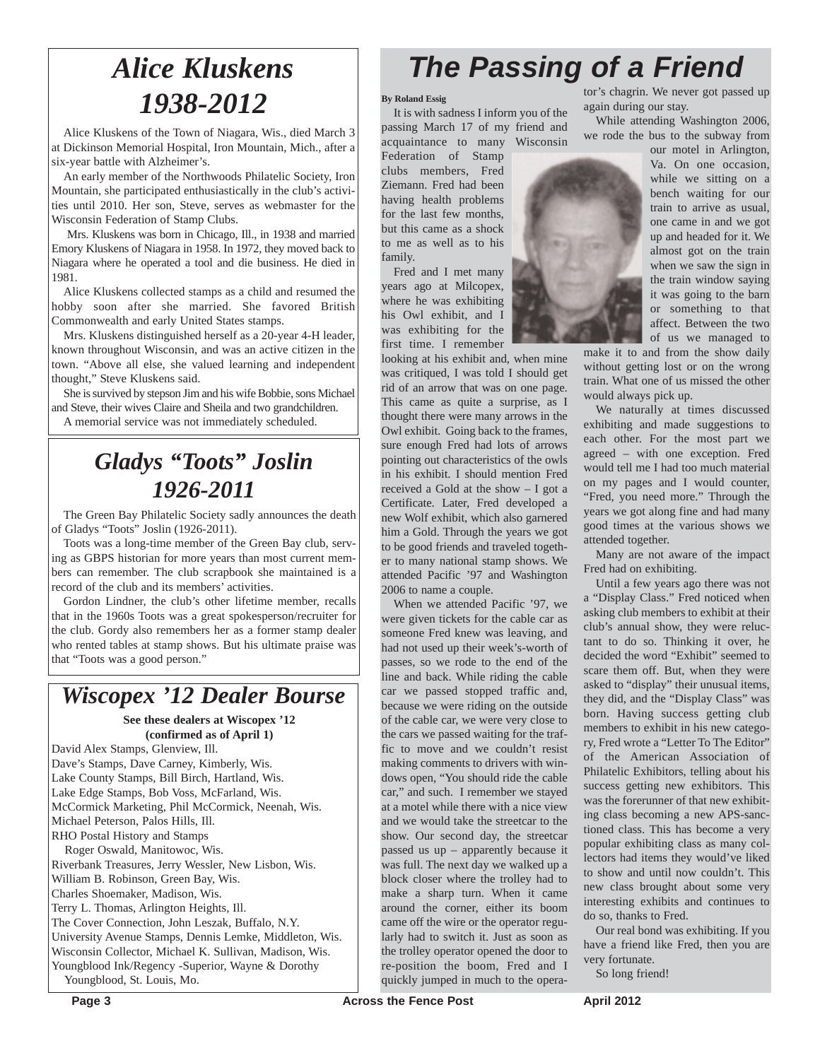# *Alice Kluskens 1938-2012*

Alice Kluskens of the Town of Niagara, Wis., died March 3 at Dickinson Memorial Hospital, Iron Mountain, Mich., after a six-year battle with Alzheimer's.

An early member of the Northwoods Philatelic Society, Iron Mountain, she participated enthusiastically in the club's activities until 2010. Her son, Steve, serves as webmaster for the Wisconsin Federation of Stamp Clubs.

Mrs. Kluskens was born in Chicago, Ill., in 1938 and married Emory Kluskens of Niagara in 1958. In 1972, they moved back to Niagara where he operated a tool and die business. He died in 1981.

Alice Kluskens collected stamps as a child and resumed the hobby soon after she married. She favored British Commonwealth and early United States stamps.

Mrs. Kluskens distinguished herself as a 20-year 4-H leader, known throughout Wisconsin, and was an active citizen in the town. "Above all else, she valued learning and independent thought," Steve Kluskens said.

She is survived by stepson Jim and his wife Bobbie, sons Michael and Steve, their wives Claire and Sheila and two grandchildren. A memorial service was not immediately scheduled.

## *Gladys "Toots" Joslin 1926-2011*

The Green Bay Philatelic Society sadly announces the death of Gladys "Toots" Joslin (1926-2011).

Toots was a long-time member of the Green Bay club, serving as GBPS historian for more years than most current members can remember. The club scrapbook she maintained is a record of the club and its members' activities.

Gordon Lindner, the club's other lifetime member, recalls that in the 1960s Toots was a great spokesperson/recruiter for the club. Gordy also remembers her as a former stamp dealer who rented tables at stamp shows. But his ultimate praise was that "Toots was a good person."

### *Wiscopex '12 Dealer Bourse*

#### **See these dealers at Wiscopex '12 (confirmed as of April 1)**

David Alex Stamps, Glenview, Ill. Dave's Stamps, Dave Carney, Kimberly, Wis. Lake County Stamps, Bill Birch, Hartland, Wis. Lake Edge Stamps, Bob Voss, McFarland, Wis. McCormick Marketing, Phil McCormick, Neenah, Wis. Michael Peterson, Palos Hills, Ill. RHO Postal History and Stamps Roger Oswald, Manitowoc, Wis.

Riverbank Treasures, Jerry Wessler, New Lisbon, Wis. William B. Robinson, Green Bay, Wis. Charles Shoemaker, Madison, Wis. Terry L. Thomas, Arlington Heights, Ill. The Cover Connection, John Leszak, Buffalo, N.Y. University Avenue Stamps, Dennis Lemke, Middleton, Wis. Wisconsin Collector, Michael K. Sullivan, Madison, Wis. Youngblood Ink/Regency -Superior, Wayne & Dorothy Youngblood, St. Louis, Mo.

# *The Passing of a Friend*

#### **By Roland Essig**

It is with sadness I inform you of the passing March 17 of my friend and acquaintance to many Wisconsin

Federation of Stamp clubs members, Fred Ziemann. Fred had been having health problems for the last few months, but this came as a shock to me as well as to his family.

Fred and I met many years ago at Milcopex, where he was exhibiting his Owl exhibit, and I was exhibiting for the first time. I remember

looking at his exhibit and, when mine was critiqued, I was told I should get rid of an arrow that was on one page. This came as quite a surprise, as I thought there were many arrows in the Owl exhibit. Going back to the frames, sure enough Fred had lots of arrows pointing out characteristics of the owls in his exhibit. I should mention Fred received a Gold at the show – I got a Certificate. Later, Fred developed a new Wolf exhibit, which also garnered him a Gold. Through the years we got to be good friends and traveled together to many national stamp shows. We attended Pacific '97 and Washington 2006 to name a couple.

When we attended Pacific '97, we were given tickets for the cable car as someone Fred knew was leaving, and had not used up their week's-worth of passes, so we rode to the end of the line and back. While riding the cable car we passed stopped traffic and, because we were riding on the outside of the cable car, we were very close to the cars we passed waiting for the traffic to move and we couldn't resist making comments to drivers with windows open, "You should ride the cable car," and such. I remember we stayed at a motel while there with a nice view and we would take the streetcar to the show. Our second day, the streetcar passed us up – apparently because it was full. The next day we walked up a block closer where the trolley had to make a sharp turn. When it came around the corner, either its boom came off the wire or the operator regularly had to switch it. Just as soon as the trolley operator opened the door to re-position the boom, Fred and I quickly jumped in much to the operator's chagrin. We never got passed up again during our stay.

While attending Washington 2006, we rode the bus to the subway from our motel in Arlington,



make it to and from the show daily without getting lost or on the wrong train. What one of us missed the other would always pick up.

We naturally at times discussed exhibiting and made suggestions to each other. For the most part we agreed – with one exception. Fred would tell me I had too much material on my pages and I would counter, "Fred, you need more." Through the years we got along fine and had many good times at the various shows we attended together.

Many are not aware of the impact Fred had on exhibiting.

Until a few years ago there was not a "Display Class." Fred noticed when asking club members to exhibit at their club's annual show, they were reluctant to do so. Thinking it over, he decided the word "Exhibit" seemed to scare them off. But, when they were asked to "display" their unusual items, they did, and the "Display Class" was born. Having success getting club members to exhibit in his new category, Fred wrote a "Letter To The Editor" of the American Association of Philatelic Exhibitors, telling about his success getting new exhibitors. This was the forerunner of that new exhibiting class becoming a new APS-sanctioned class. This has become a very popular exhibiting class as many collectors had items they would've liked to show and until now couldn't. This new class brought about some very interesting exhibits and continues to do so, thanks to Fred.

Our real bond was exhibiting. If you have a friend like Fred, then you are very fortunate.

So long friend!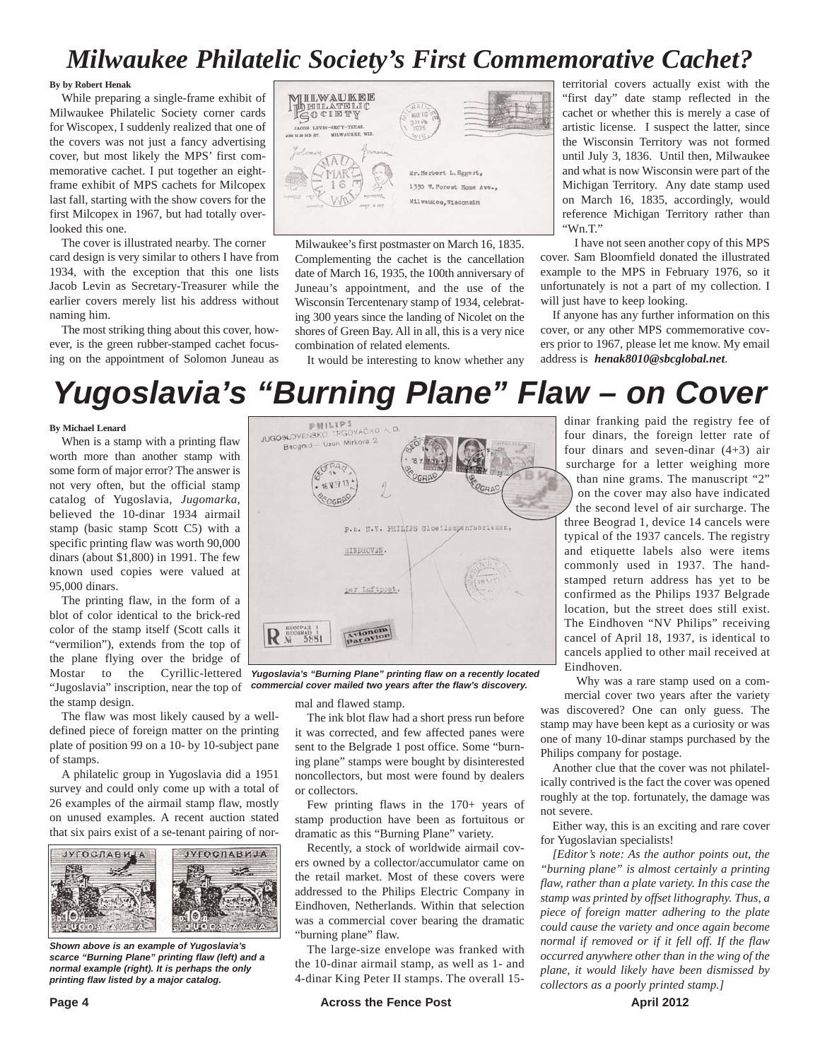## *Milwaukee Philatelic Society's First Commemorative Cachet?*

#### **By by Robert Henak**

While preparing a single-frame exhibit of Milwaukee Philatelic Society corner cards for Wiscopex, I suddenly realized that one of the covers was not just a fancy advertising cover, but most likely the MPS' first commemorative cachet. I put together an eightframe exhibit of MPS cachets for Milcopex last fall, starting with the show covers for the first Milcopex in 1967, but had totally overlooked this one.

The cover is illustrated nearby. The corner card design is very similar to others I have from 1934, with the exception that this one lists Jacob Levin as Secretary-Treasurer while the earlier covers merely list his address without naming him.

The most striking thing about this cover, however, is the green rubber-stamped cachet focusing on the appointment of Solomon Juneau as



Milwaukee's first postmaster on March 16, 1835. Complementing the cachet is the cancellation date of March 16, 1935, the 100th anniversary of Juneau's appointment, and the use of the Wisconsin Tercentenary stamp of 1934, celebrating 300 years since the landing of Nicolet on the shores of Green Bay. All in all, this is a very nice combination of related elements.

It would be interesting to know whether any

territorial covers actually exist with the "first day" date stamp reflected in the cachet or whether this is merely a case of artistic license. I suspect the latter, since the Wisconsin Territory was not formed until July 3, 1836. Until then, Milwaukee and what is now Wisconsin were part of the Michigan Territory. Any date stamp used on March 16, 1835, accordingly, would reference Michigan Territory rather than "Wn.T."

I have not seen another copy of this MPS cover. Sam Bloomfield donated the illustrated example to the MPS in February 1976, so it unfortunately is not a part of my collection. I will just have to keep looking.

If anyone has any further information on this cover, or any other MPS commemorative covers prior to 1967, please let me know. My email address is *henak8010@sbcglobal.net*.

# *Yugoslavia's "Burning Plane" Flaw – on Cover*

#### **By Michael Lenard**

When is a stamp with a printing flaw worth more than another stamp with some form of major error? The answer is not very often, but the official stamp catalog of Yugoslavia, *Jugomarka*, believed the 10-dinar 1934 airmail stamp (basic stamp Scott C5) with a specific printing flaw was worth 90,000 dinars (about \$1,800) in 1991. The few known used copies were valued at 95,000 dinars.

The printing flaw, in the form of a blot of color identical to the brick-red color of the stamp itself (Scott calls it "vermilion"), extends from the top of the plane flying over the bridge of Mostar to the Cyrillic-lettered "Jugoslavia" inscription, near the top of the stamp design.

The flaw was most likely caused by a welldefined piece of foreign matter on the printing plate of position 99 on a 10- by 10-subject pane of stamps.

A philatelic group in Yugoslavia did a 1951 survey and could only come up with a total of 26 examples of the airmail stamp flaw, mostly on unused examples. A recent auction stated that six pairs exist of a se-tenant pairing of nor-



*Shown above is an example of Yugoslavia's scarce "Burning Plane" printing flaw (left) and a normal example (right). It is perhaps the only printing flaw listed by a major catalog.*



*Yugoslavia's "Burning Plane" printing flaw on a recently located commercial cover mailed two years after the flaw's discovery.*

mal and flawed stamp.

The ink blot flaw had a short press run before it was corrected, and few affected panes were sent to the Belgrade 1 post office. Some "burning plane" stamps were bought by disinterested noncollectors, but most were found by dealers or collectors.

Few printing flaws in the 170+ years of stamp production have been as fortuitous or dramatic as this "Burning Plane" variety.

Recently, a stock of worldwide airmail covers owned by a collector/accumulator came on the retail market. Most of these covers were addressed to the Philips Electric Company in Eindhoven, Netherlands. Within that selection was a commercial cover bearing the dramatic "burning plane" flaw.

The large-size envelope was franked with the 10-dinar airmail stamp, as well as 1- and 4-dinar King Peter II stamps. The overall 15dinar franking paid the registry fee of four dinars, the foreign letter rate of four dinars and seven-dinar (4+3) air surcharge for a letter weighing more than nine grams. The manuscript "2" on the cover may also have indicated the second level of air surcharge. The three Beograd 1, device 14 cancels were typical of the 1937 cancels. The registry and etiquette labels also were items commonly used in 1937. The handstamped return address has yet to be confirmed as the Philips 1937 Belgrade location, but the street does still exist. The Eindhoven "NV Philips" receiving cancel of April 18, 1937, is identical to cancels applied to other mail received at Eindhoven.

Why was a rare stamp used on a commercial cover two years after the variety was discovered? One can only guess. The stamp may have been kept as a curiosity or was one of many 10-dinar stamps purchased by the Philips company for postage.

Another clue that the cover was not philatelically contrived is the fact the cover was opened roughly at the top. fortunately, the damage was not severe.

Either way, this is an exciting and rare cover for Yugoslavian specialists!

*[Editor's note: As the author points out, the "burning plane" is almost certainly a printing flaw, rather than a plate variety. In this case the stamp was printed by offset lithography. Thus, a piece of foreign matter adhering to the plate could cause the variety and once again become normal if removed or if it fell off. If the flaw occurred anywhere other than in the wing of the plane, it would likely have been dismissed by collectors as a poorly printed stamp.]*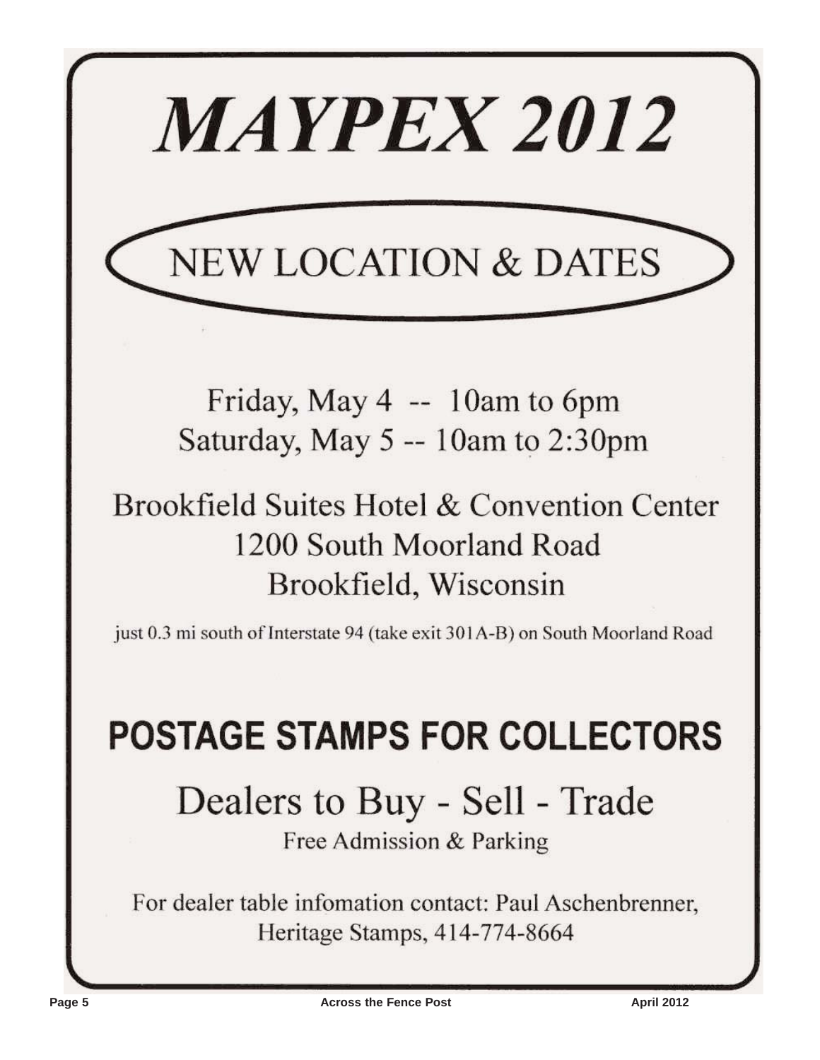